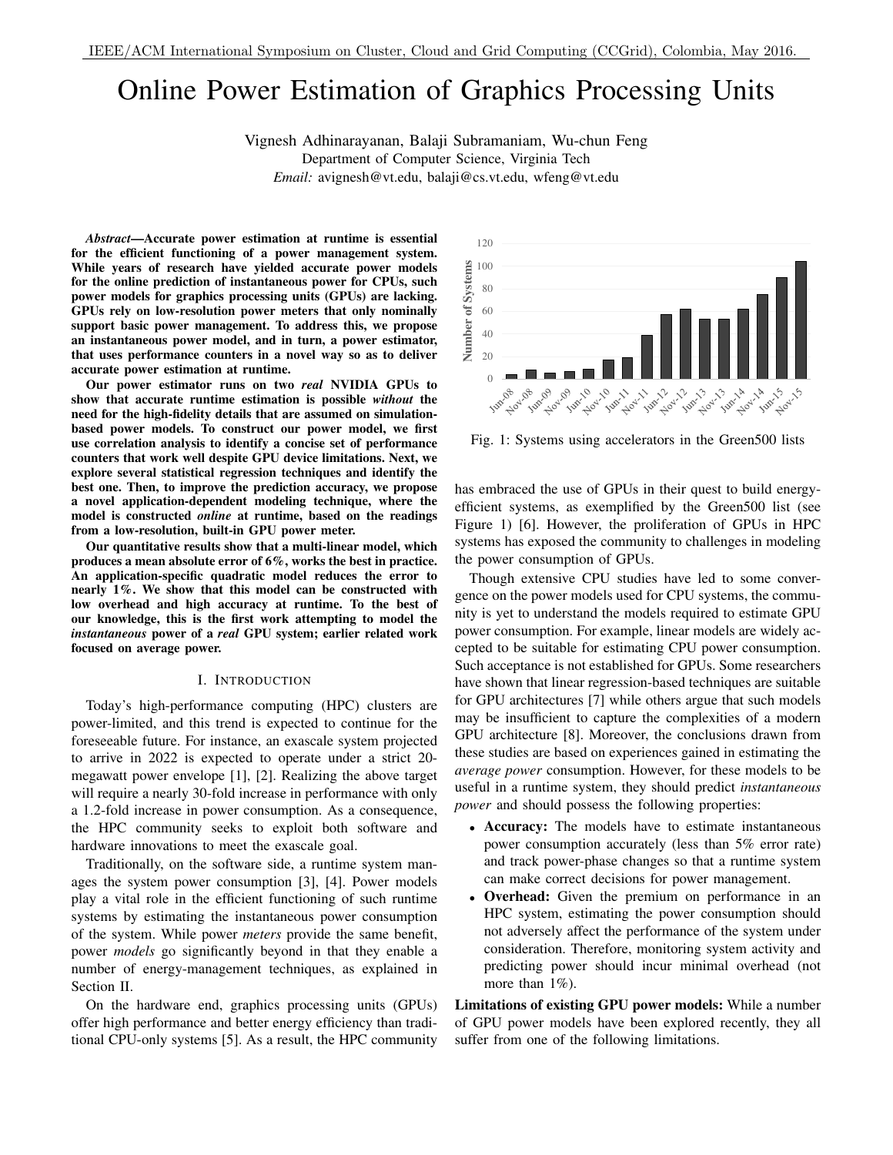# Online Power Estimation of Graphics Processing Units

Vignesh Adhinarayanan, Balaji Subramaniam, Wu-chun Feng

Department of Computer Science, Virginia Tech *Email:* avignesh@vt.edu, balaji@cs.vt.edu, wfeng@vt.edu

*Abstract*—Accurate power estimation at runtime is essential for the efficient functioning of a power management system. While years of research have yielded accurate power models for the online prediction of instantaneous power for CPUs, such power models for graphics processing units (GPUs) are lacking. GPUs rely on low-resolution power meters that only nominally support basic power management. To address this, we propose an instantaneous power model, and in turn, a power estimator, that uses performance counters in a novel way so as to deliver accurate power estimation at runtime.

Our power estimator runs on two *real* NVIDIA GPUs to show that accurate runtime estimation is possible *without* the need for the high-fidelity details that are assumed on simulationbased power models. To construct our power model, we first use correlation analysis to identify a concise set of performance counters that work well despite GPU device limitations. Next, we explore several statistical regression techniques and identify the best one. Then, to improve the prediction accuracy, we propose a novel application-dependent modeling technique, where the model is constructed *online* at runtime, based on the readings from a low-resolution, built-in GPU power meter.

Our quantitative results show that a multi-linear model, which produces a mean absolute error of 6%, works the best in practice. An application-specific quadratic model reduces the error to nearly 1%. We show that this model can be constructed with low overhead and high accuracy at runtime. To the best of our knowledge, this is the first work attempting to model the *instantaneous* power of a *real* GPU system; earlier related work focused on average power.

#### I. INTRODUCTION

Today's high-performance computing (HPC) clusters are power-limited, and this trend is expected to continue for the foreseeable future. For instance, an exascale system projected to arrive in 2022 is expected to operate under a strict 20 megawatt power envelope [1], [2]. Realizing the above target will require a nearly 30-fold increase in performance with only a 1.2-fold increase in power consumption. As a consequence, the HPC community seeks to exploit both software and hardware innovations to meet the exascale goal.

Traditionally, on the software side, a runtime system manages the system power consumption [3], [4]. Power models play a vital role in the efficient functioning of such runtime systems by estimating the instantaneous power consumption of the system. While power *meters* provide the same benefit, power *models* go significantly beyond in that they enable a number of energy-management techniques, as explained in Section II.

On the hardware end, graphics processing units (GPUs) offer high performance and better energy efficiency than traditional CPU-only systems [5]. As a result, the HPC community



Fig. 1: Systems using accelerators in the Green500 lists

has embraced the use of GPUs in their quest to build energyefficient systems, as exemplified by the Green500 list (see Figure 1) [6]. However, the proliferation of GPUs in HPC systems has exposed the community to challenges in modeling the power consumption of GPUs.

Though extensive CPU studies have led to some convergence on the power models used for CPU systems, the community is yet to understand the models required to estimate GPU power consumption. For example, linear models are widely accepted to be suitable for estimating CPU power consumption. Such acceptance is not established for GPUs. Some researchers have shown that linear regression-based techniques are suitable for GPU architectures [7] while others argue that such models may be insufficient to capture the complexities of a modern GPU architecture [8]. Moreover, the conclusions drawn from these studies are based on experiences gained in estimating the *average power* consumption. However, for these models to be useful in a runtime system, they should predict *instantaneous power* and should possess the following properties:

- Accuracy: The models have to estimate instantaneous power consumption accurately (less than 5% error rate) and track power-phase changes so that a runtime system can make correct decisions for power management.
- Overhead: Given the premium on performance in an HPC system, estimating the power consumption should not adversely affect the performance of the system under consideration. Therefore, monitoring system activity and predicting power should incur minimal overhead (not more than  $1\%$ ).

Limitations of existing GPU power models: While a number of GPU power models have been explored recently, they all suffer from one of the following limitations.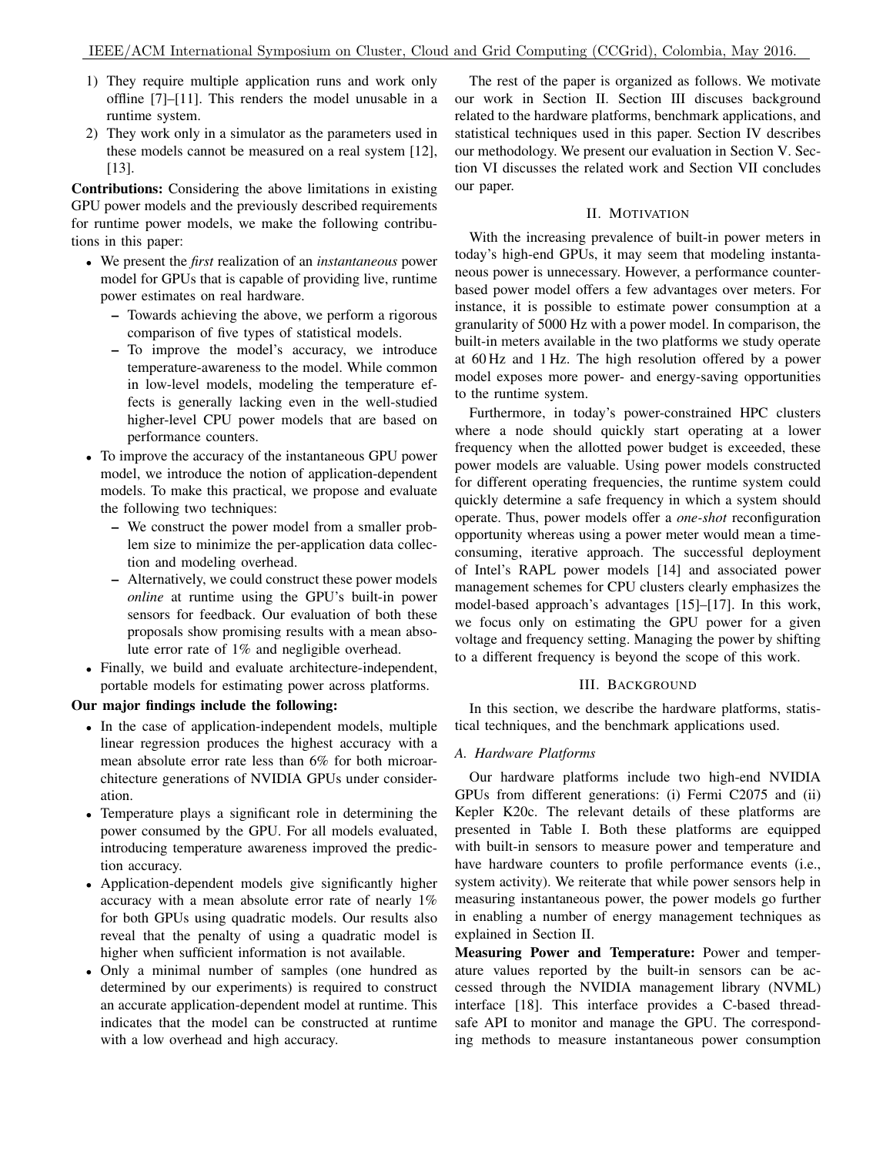- 1) They require multiple application runs and work only offline [7]–[11]. This renders the model unusable in a runtime system.
- 2) They work only in a simulator as the parameters used in these models cannot be measured on a real system [12], [13].

Contributions: Considering the above limitations in existing GPU power models and the previously described requirements for runtime power models, we make the following contributions in this paper:

- We present the *first* realization of an *instantaneous* power model for GPUs that is capable of providing live, runtime power estimates on real hardware.
	- Towards achieving the above, we perform a rigorous comparison of five types of statistical models.
	- To improve the model's accuracy, we introduce temperature-awareness to the model. While common in low-level models, modeling the temperature effects is generally lacking even in the well-studied higher-level CPU power models that are based on performance counters.
- To improve the accuracy of the instantaneous GPU power model, we introduce the notion of application-dependent models. To make this practical, we propose and evaluate the following two techniques:
	- We construct the power model from a smaller problem size to minimize the per-application data collection and modeling overhead.
	- Alternatively, we could construct these power models *online* at runtime using the GPU's built-in power sensors for feedback. Our evaluation of both these proposals show promising results with a mean absolute error rate of 1% and negligible overhead.
- Finally, we build and evaluate architecture-independent, portable models for estimating power across platforms.

# Our major findings include the following:

- In the case of application-independent models, multiple linear regression produces the highest accuracy with a mean absolute error rate less than 6% for both microarchitecture generations of NVIDIA GPUs under consideration.
- Temperature plays a significant role in determining the power consumed by the GPU. For all models evaluated, introducing temperature awareness improved the prediction accuracy.
- Application-dependent models give significantly higher accuracy with a mean absolute error rate of nearly 1% for both GPUs using quadratic models. Our results also reveal that the penalty of using a quadratic model is higher when sufficient information is not available.
- Only a minimal number of samples (one hundred as determined by our experiments) is required to construct an accurate application-dependent model at runtime. This indicates that the model can be constructed at runtime with a low overhead and high accuracy.

The rest of the paper is organized as follows. We motivate our work in Section II. Section III discuses background related to the hardware platforms, benchmark applications, and statistical techniques used in this paper. Section IV describes our methodology. We present our evaluation in Section V. Section VI discusses the related work and Section VII concludes our paper.

# II. MOTIVATION

With the increasing prevalence of built-in power meters in today's high-end GPUs, it may seem that modeling instantaneous power is unnecessary. However, a performance counterbased power model offers a few advantages over meters. For instance, it is possible to estimate power consumption at a granularity of 5000 Hz with a power model. In comparison, the built-in meters available in the two platforms we study operate at 60 Hz and 1 Hz. The high resolution offered by a power model exposes more power- and energy-saving opportunities to the runtime system.

Furthermore, in today's power-constrained HPC clusters where a node should quickly start operating at a lower frequency when the allotted power budget is exceeded, these power models are valuable. Using power models constructed for different operating frequencies, the runtime system could quickly determine a safe frequency in which a system should operate. Thus, power models offer a *one-shot* reconfiguration opportunity whereas using a power meter would mean a timeconsuming, iterative approach. The successful deployment of Intel's RAPL power models [14] and associated power management schemes for CPU clusters clearly emphasizes the model-based approach's advantages [15]–[17]. In this work, we focus only on estimating the GPU power for a given voltage and frequency setting. Managing the power by shifting to a different frequency is beyond the scope of this work.

# III. BACKGROUND

In this section, we describe the hardware platforms, statistical techniques, and the benchmark applications used.

# *A. Hardware Platforms*

Our hardware platforms include two high-end NVIDIA GPUs from different generations: (i) Fermi C2075 and (ii) Kepler K20c. The relevant details of these platforms are presented in Table I. Both these platforms are equipped with built-in sensors to measure power and temperature and have hardware counters to profile performance events (i.e., system activity). We reiterate that while power sensors help in measuring instantaneous power, the power models go further in enabling a number of energy management techniques as explained in Section II.

Measuring Power and Temperature: Power and temperature values reported by the built-in sensors can be accessed through the NVIDIA management library (NVML) interface [18]. This interface provides a C-based threadsafe API to monitor and manage the GPU. The corresponding methods to measure instantaneous power consumption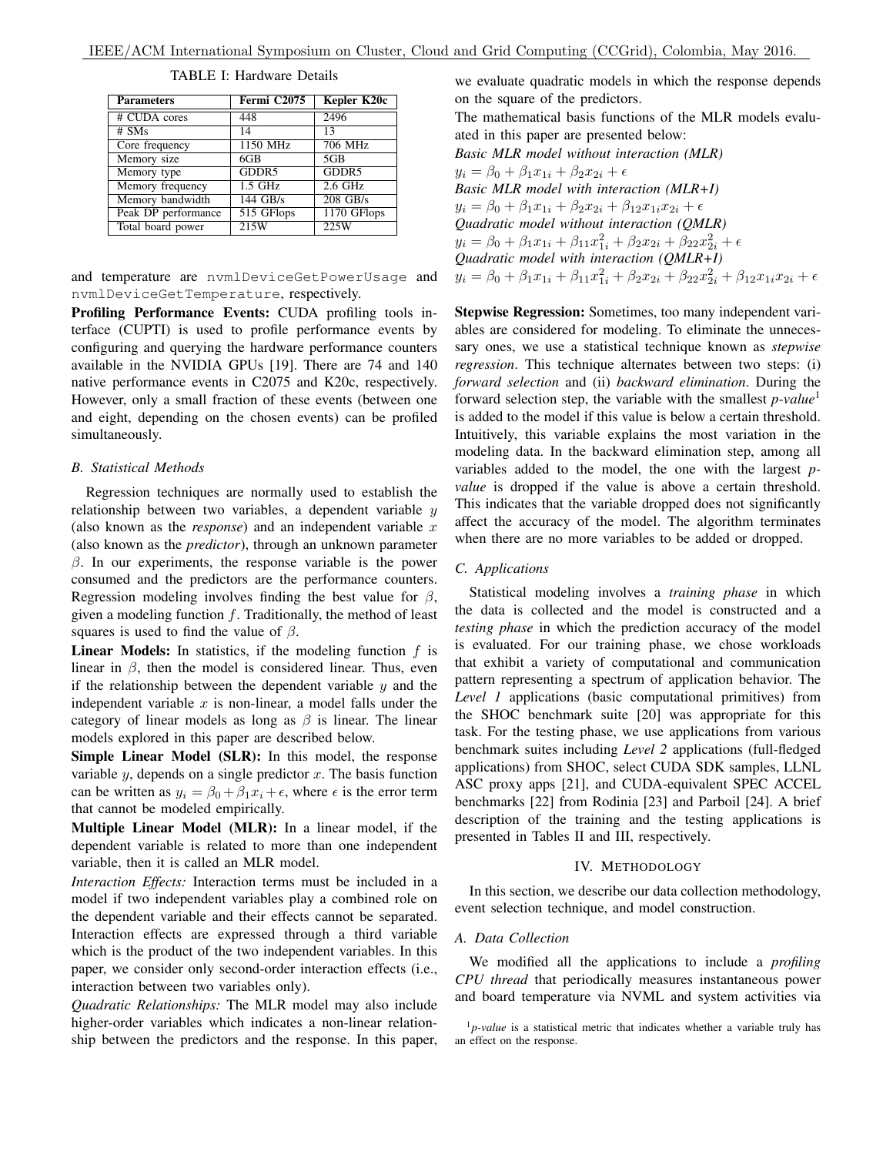| <b>Parameters</b>   | Fermi C2075 | Kepler K20c     |
|---------------------|-------------|-----------------|
| # CUDA cores        | 448         | 2496            |
| $#$ SMs             | 14          | 13              |
| Core frequency      | 1150 MHz    | 706 MHz         |
| Memory size         | 6GB         | 5 <sub>GB</sub> |
| Memory type         | GDDR5       | GDDR5           |
| Memory frequency    | $1.5$ GHz   | $2.6$ GHz       |
| Memory bandwidth    | 144 GB/s    | $208$ GB/s      |
| Peak DP performance | 515 GFlops  | 1170 GFlops     |
| Total board power   | 215W        | 225W            |

TABLE I: Hardware Details

and temperature are nvmlDeviceGetPowerUsage and nvmlDeviceGetTemperature, respectively.

Profiling Performance Events: CUDA profiling tools interface (CUPTI) is used to profile performance events by configuring and querying the hardware performance counters available in the NVIDIA GPUs [19]. There are 74 and 140 native performance events in C2075 and K20c, respectively. However, only a small fraction of these events (between one and eight, depending on the chosen events) can be profiled simultaneously.

#### *B. Statistical Methods*

Regression techniques are normally used to establish the relationship between two variables, a dependent variable  $y$ (also known as the *response*) and an independent variable  $x$ (also known as the *predictor*), through an unknown parameter  $β$ . In our experiments, the response variable is the power consumed and the predictors are the performance counters. Regression modeling involves finding the best value for  $\beta$ , given a modeling function  $f$ . Traditionally, the method of least squares is used to find the value of  $\beta$ .

**Linear Models:** In statistics, if the modeling function  $f$  is linear in  $\beta$ , then the model is considered linear. Thus, even if the relationship between the dependent variable  $y$  and the independent variable  $x$  is non-linear, a model falls under the category of linear models as long as  $\beta$  is linear. The linear models explored in this paper are described below.

Simple Linear Model (SLR): In this model, the response variable  $y$ , depends on a single predictor  $x$ . The basis function can be written as  $y_i = \beta_0 + \beta_1 x_i + \epsilon$ , where  $\epsilon$  is the error term that cannot be modeled empirically.

Multiple Linear Model (MLR): In a linear model, if the dependent variable is related to more than one independent variable, then it is called an MLR model.

*Interaction Effects:* Interaction terms must be included in a model if two independent variables play a combined role on the dependent variable and their effects cannot be separated. Interaction effects are expressed through a third variable which is the product of the two independent variables. In this paper, we consider only second-order interaction effects (i.e., interaction between two variables only).

*Quadratic Relationships:* The MLR model may also include higher-order variables which indicates a non-linear relationship between the predictors and the response. In this paper,

we evaluate quadratic models in which the response depends on the square of the predictors.

The mathematical basis functions of the MLR models evaluated in this paper are presented below:

Basic MLR model without interaction (MLR)  
\n
$$
y_i = \beta_0 + \beta_1 x_{1i} + \beta_2 x_{2i} + \epsilon
$$
  
\nBasic MLR model with interaction (MLR+I)  
\n $y_i = \beta_0 + \beta_1 x_{1i} + \beta_2 x_{2i} + \beta_{12} x_{1i} x_{2i} + \epsilon$   
\nQuadratic model without interaction (QMLR)  
\n $y_i = \beta_0 + \beta_1 x_{1i} + \beta_{11} x_{1i}^2 + \beta_2 x_{2i} + \beta_{22} x_{2i}^2 + \epsilon$   
\nQuadratic model with interaction (QMLR+I)  
\n $y_i = \beta_0 + \beta_1 x_{1i} + \beta_{11} x_{1i}^2 + \beta_2 x_{2i} + \beta_{22} x_{2i}^2 + \beta_{12} x_{1i} x_{2i} + \epsilon$ 

Stepwise Regression: Sometimes, too many independent variables are considered for modeling. To eliminate the unnecessary ones, we use a statistical technique known as *stepwise regression*. This technique alternates between two steps: (i) *forward selection* and (ii) *backward elimination*. During the forward selection step, the variable with the smallest *p-value*<sup>1</sup> is added to the model if this value is below a certain threshold. Intuitively, this variable explains the most variation in the modeling data. In the backward elimination step, among all variables added to the model, the one with the largest *pvalue* is dropped if the value is above a certain threshold. This indicates that the variable dropped does not significantly affect the accuracy of the model. The algorithm terminates when there are no more variables to be added or dropped.

# *C. Applications*

Statistical modeling involves a *training phase* in which the data is collected and the model is constructed and a *testing phase* in which the prediction accuracy of the model is evaluated. For our training phase, we chose workloads that exhibit a variety of computational and communication pattern representing a spectrum of application behavior. The *Level 1* applications (basic computational primitives) from the SHOC benchmark suite [20] was appropriate for this task. For the testing phase, we use applications from various benchmark suites including *Level 2* applications (full-fledged applications) from SHOC, select CUDA SDK samples, LLNL ASC proxy apps [21], and CUDA-equivalent SPEC ACCEL benchmarks [22] from Rodinia [23] and Parboil [24]. A brief description of the training and the testing applications is presented in Tables II and III, respectively.

## IV. METHODOLOGY

In this section, we describe our data collection methodology, event selection technique, and model construction.

#### *A. Data Collection*

We modified all the applications to include a *profiling CPU thread* that periodically measures instantaneous power and board temperature via NVML and system activities via

 $1<sub>p</sub>$ -value is a statistical metric that indicates whether a variable truly has an effect on the response.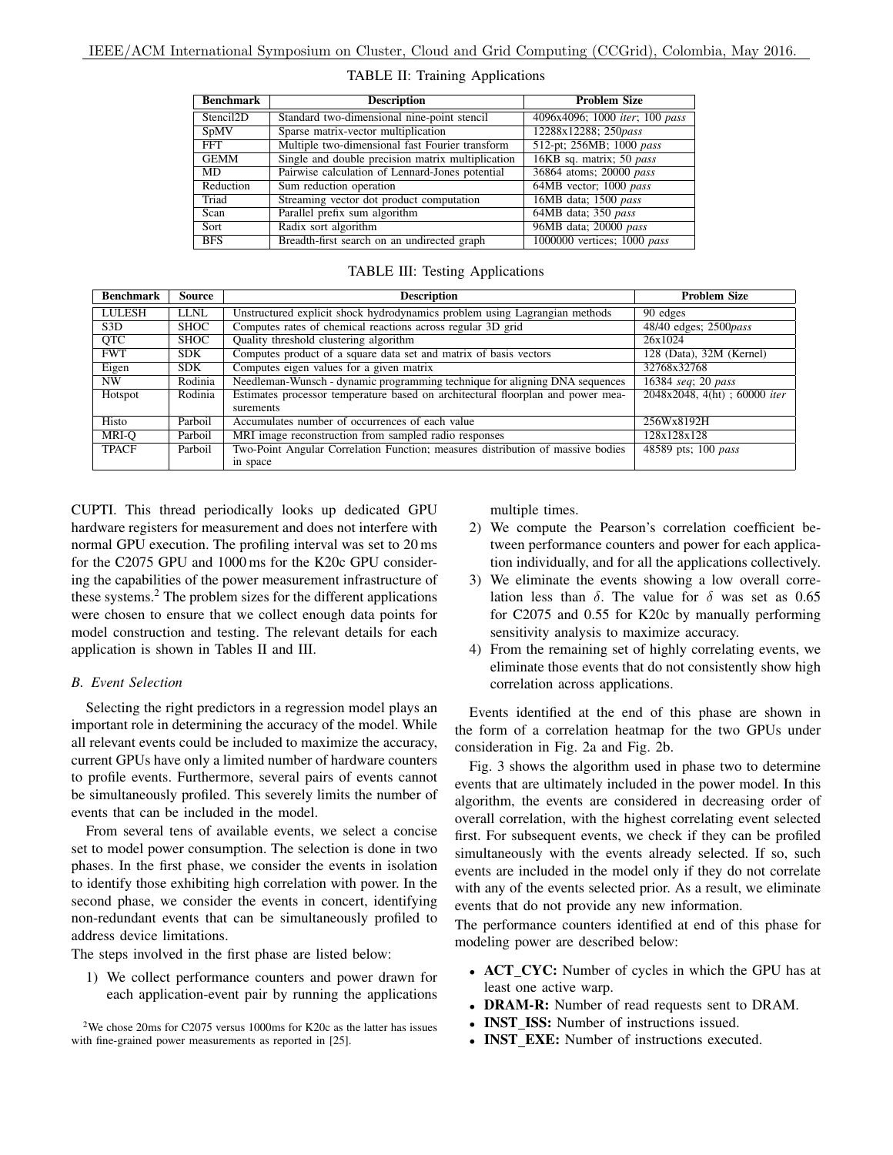| <b>Benchmark</b>      | <b>Description</b>                                | <b>Problem Size</b>            |
|-----------------------|---------------------------------------------------|--------------------------------|
| Stencil <sub>2D</sub> | Standard two-dimensional nine-point stencil       | 4096x4096; 1000 iter; 100 pass |
| SpMV                  | Sparse matrix-vector multiplication               | 12288x12288; 250pass           |
| FFT                   | Multiple two-dimensional fast Fourier transform   | 512-pt; 256MB; 1000 pass       |
| <b>GEMM</b>           | Single and double precision matrix multiplication | 16KB sq. matrix; 50 pass       |
| MD.                   | Pairwise calculation of Lennard-Jones potential   | 36864 atoms; 20000 pass        |
| Reduction             | Sum reduction operation                           | 64MB vector; 1000 pass         |
| Triad                 | Streaming vector dot product computation          | 16MB data; 1500 pass           |
| Scan                  | Parallel prefix sum algorithm                     | 64MB data; 350 pass            |
| Sort                  | Radix sort algorithm                              | 96MB data; 20000 pass          |
| <b>BFS</b>            | Breadth-first search on an undirected graph       | 1000000 vertices; 1000 pass    |

# TABLE II: Training Applications

# TABLE III: Testing Applications

| <b>Benchmark</b> | Source      | <b>Description</b>                                                              | <b>Problem Size</b>           |
|------------------|-------------|---------------------------------------------------------------------------------|-------------------------------|
| <b>LULESH</b>    | <b>LLNL</b> | Unstructured explicit shock hydrodynamics problem using Lagrangian methods      | $\overline{90}$ edges         |
| S <sub>3</sub> D | <b>SHOC</b> | Computes rates of chemical reactions across regular 3D grid                     | 48/40 edges; 2500 <i>pass</i> |
| QTC              | <b>SHOC</b> | Quality threshold clustering algorithm                                          | 26x1024                       |
| <b>FWT</b>       | <b>SDK</b>  | Computes product of a square data set and matrix of basis vectors               | 128 (Data), $32M$ (Kernel)    |
| Eigen            | <b>SDK</b>  | Computes eigen values for a given matrix                                        | 32768x32768                   |
| NW               | Rodinia     | Needleman-Wunsch - dynamic programming technique for aligning DNA sequences     | 16384 seq; 20 pass            |
| Hotspot          | Rodinia     | Estimates processor temperature based on architectural floorplan and power mea- | 2048x2048, 4(ht); 60000 iter  |
|                  |             | surements                                                                       |                               |
| Histo            | Parboil     | Accumulates number of occurrences of each value                                 | 256Wx8192H                    |
| MRI-O            | Parboil     | MRI image reconstruction from sampled radio responses                           | 128x128x128                   |
| <b>TPACF</b>     | Parboil     | Two-Point Angular Correlation Function; measures distribution of massive bodies | 48589 pts; 100 pass           |
|                  |             | in space                                                                        |                               |

CUPTI. This thread periodically looks up dedicated GPU hardware registers for measurement and does not interfere with normal GPU execution. The profiling interval was set to 20 ms for the C2075 GPU and 1000 ms for the K20c GPU considering the capabilities of the power measurement infrastructure of these systems.<sup>2</sup> The problem sizes for the different applications were chosen to ensure that we collect enough data points for model construction and testing. The relevant details for each application is shown in Tables II and III.

## *B. Event Selection*

Selecting the right predictors in a regression model plays an important role in determining the accuracy of the model. While all relevant events could be included to maximize the accuracy, current GPUs have only a limited number of hardware counters to profile events. Furthermore, several pairs of events cannot be simultaneously profiled. This severely limits the number of events that can be included in the model.

From several tens of available events, we select a concise set to model power consumption. The selection is done in two phases. In the first phase, we consider the events in isolation to identify those exhibiting high correlation with power. In the second phase, we consider the events in concert, identifying non-redundant events that can be simultaneously profiled to address device limitations.

The steps involved in the first phase are listed below:

1) We collect performance counters and power drawn for each application-event pair by running the applications multiple times.

- 2) We compute the Pearson's correlation coefficient between performance counters and power for each application individually, and for all the applications collectively.
- 3) We eliminate the events showing a low overall correlation less than  $\delta$ . The value for  $\delta$  was set as 0.65 for C2075 and 0.55 for K20c by manually performing sensitivity analysis to maximize accuracy.
- 4) From the remaining set of highly correlating events, we eliminate those events that do not consistently show high correlation across applications.

Events identified at the end of this phase are shown in the form of a correlation heatmap for the two GPUs under consideration in Fig. 2a and Fig. 2b.

Fig. 3 shows the algorithm used in phase two to determine events that are ultimately included in the power model. In this algorithm, the events are considered in decreasing order of overall correlation, with the highest correlating event selected first. For subsequent events, we check if they can be profiled simultaneously with the events already selected. If so, such events are included in the model only if they do not correlate with any of the events selected prior. As a result, we eliminate events that do not provide any new information.

The performance counters identified at end of this phase for modeling power are described below:

- ACT\_CYC: Number of cycles in which the GPU has at least one active warp.
- **DRAM-R:** Number of read requests sent to DRAM.
- INST ISS: Number of instructions issued.
- **INST\_EXE:** Number of instructions executed.

<sup>2</sup>We chose 20ms for C2075 versus 1000ms for K20c as the latter has issues with fine-grained power measurements as reported in [25].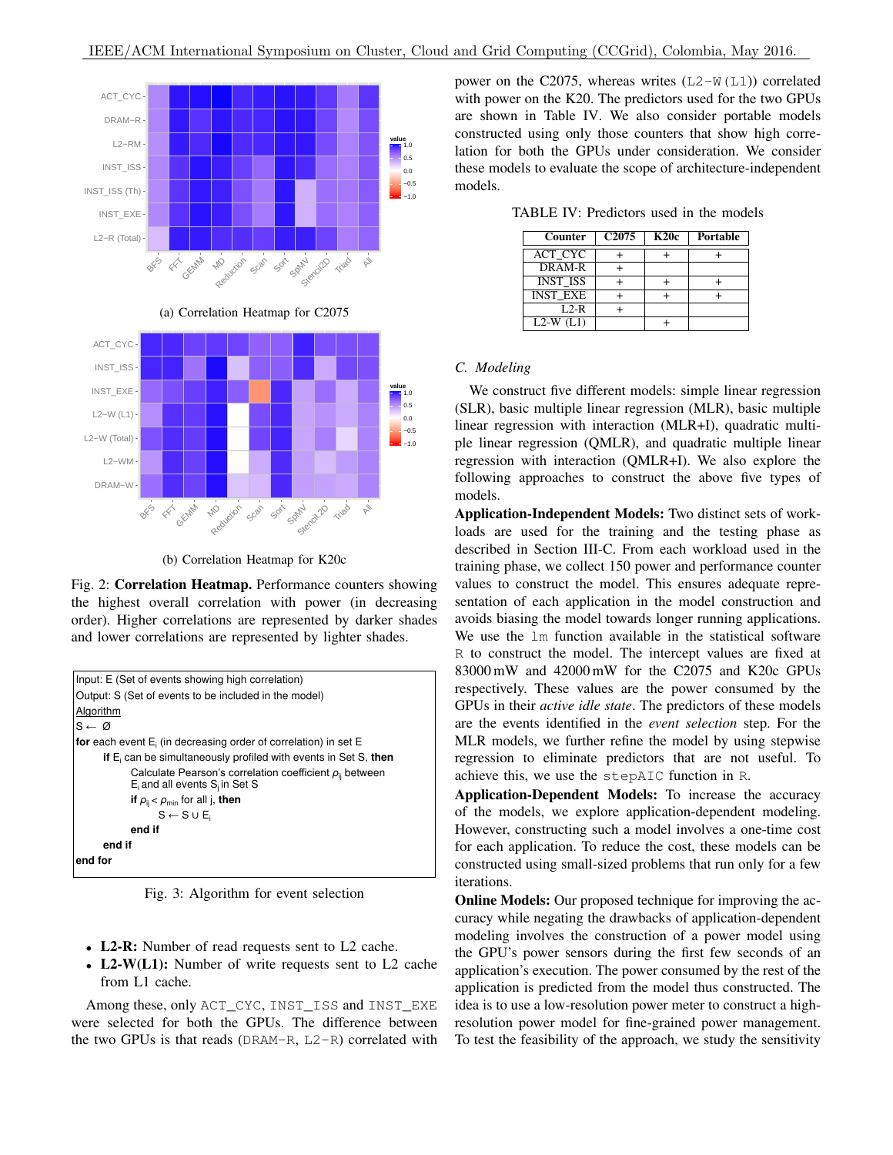

(b) Correlation Heatmap for K20c

Fig. 2: Correlation Heatmap. Performance counters showing the highest overall correlation with power (in decreasing order). Higher correlations are represented by darker shades and lower correlations are represented by lighter shades.



Fig. 3: Algorithm for event selection

- L2-R: Number of read requests sent to L2 cache.
- L2-W(L1): Number of write requests sent to L2 cache from L1 cache.

Among these, only ACT\_CYC, INST\_ISS and INST\_EXE were selected for both the GPUs. The difference between the two GPUs is that reads ( $DRAM-R$ ,  $L2-R$ ) correlated with power on the C2075, whereas writes  $(L2-W(L1))$  correlated with power on the K20. The predictors used for the two GPUs are shown in Table IV. We also consider portable models constructed using only those counters that show high correlation for both the GPUs under consideration. We consider these models to evaluate the scope of architecture-independent models.

TABLE IV: Predictors used in the models

| Counter                        | C <sub>2075</sub> | <b>K20c</b> | Portable |
|--------------------------------|-------------------|-------------|----------|
| <b>ACT CYC</b>                 |                   |             |          |
| DRAM-R                         |                   |             |          |
| <b>INST ISS</b>                |                   |             |          |
| <b>INST EXE</b>                |                   |             |          |
| $\overline{L}$ <sub>2</sub> -R |                   |             |          |
| $L2-W(L1)$                     |                   |             |          |

# *C. Modeling*

We construct five different models: simple linear regression (SLR), basic multiple linear regression (MLR), basic multiple linear regression with interaction (MLR+I), quadratic multiple linear regression (QMLR), and quadratic multiple linear regression with interaction (QMLR+I). We also explore the following approaches to construct the above five types of models.

Application-Independent Models: Two distinct sets of workloads are used for the training and the testing phase as described in Section III-C. From each workload used in the training phase, we collect 150 power and performance counter values to construct the model. This ensures adequate representation of each application in the model construction and avoids biasing the model towards longer running applications. We use the lm function available in the statistical software R to construct the model. The intercept values are fixed at 83000 mW and 42000 mW for the C2075 and K20c GPUs respectively. These values are the power consumed by the GPUs in their *active idle state*. The predictors of these models are the events identified in the *event selection* step. For the MLR models, we further refine the model by using stepwise regression to eliminate predictors that are not useful. To achieve this, we use the stepAIC function in R.

Application-Dependent Models: To increase the accuracy of the models, we explore application-dependent modeling. However, constructing such a model involves a one-time cost for each application. To reduce the cost, these models can be constructed using small-sized problems that run only for a few iterations.

**Online Models:** Our proposed technique for improving the accuracy while negating the drawbacks of application-dependent modeling involves the construction of a power model using the GPU's power sensors during the first few seconds of an application's execution. The power consumed by the rest of the application is predicted from the model thus constructed. The idea is to use a low-resolution power meter to construct a highresolution power model for fine-grained power management. To test the feasibility of the approach, we study the sensitivity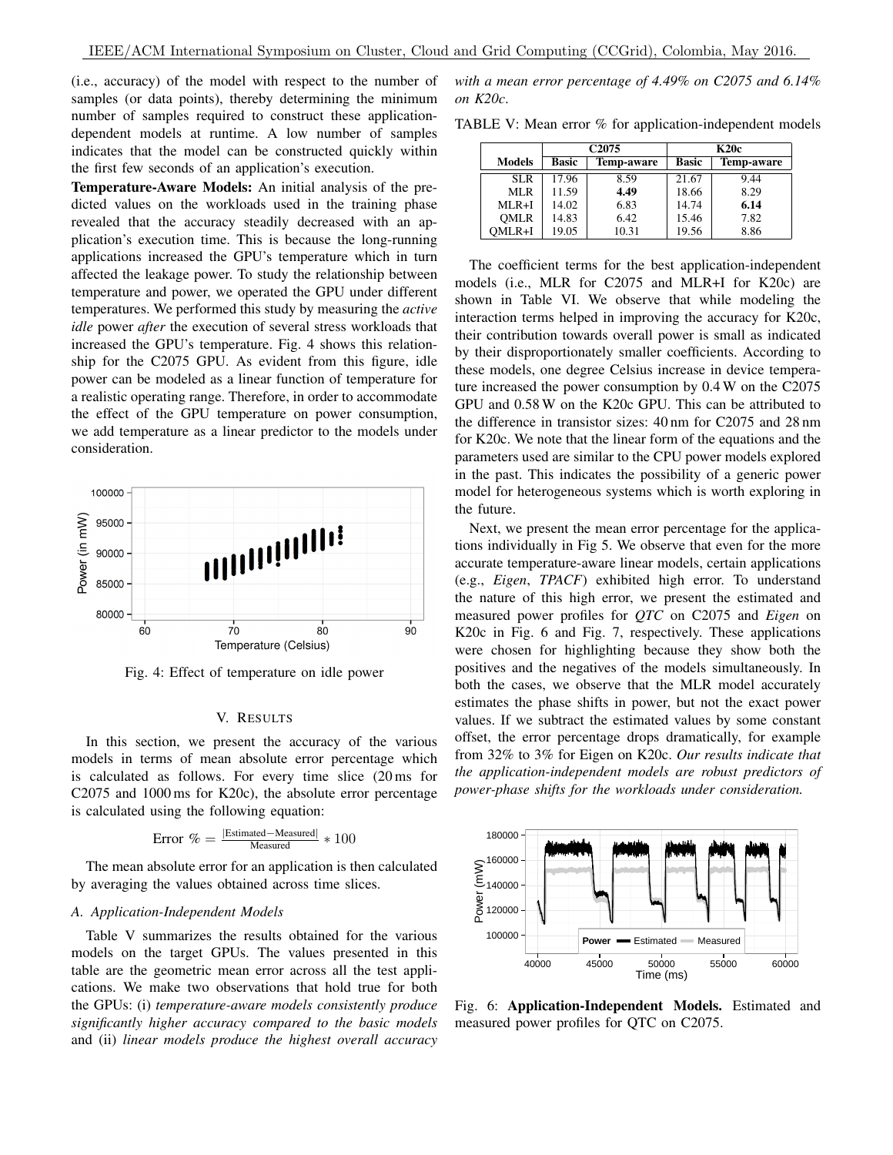(i.e., accuracy) of the model with respect to the number of samples (or data points), thereby determining the minimum number of samples required to construct these applicationdependent models at runtime. A low number of samples indicates that the model can be constructed quickly within the first few seconds of an application's execution.

Temperature-Aware Models: An initial analysis of the predicted values on the workloads used in the training phase revealed that the accuracy steadily decreased with an application's execution time. This is because the long-running applications increased the GPU's temperature which in turn affected the leakage power. To study the relationship between temperature and power, we operated the GPU under different temperatures. We performed this study by measuring the *active idle* power *after* the execution of several stress workloads that increased the GPU's temperature. Fig. 4 shows this relationship for the C2075 GPU. As evident from this figure, idle power can be modeled as a linear function of temperature for a realistic operating range. Therefore, in order to accommodate the effect of the GPU temperature on power consumption, we add temperature as a linear predictor to the models under consideration.



Fig. 4: Effect of temperature on idle power

#### V. RESULTS

In this section, we present the accuracy of the various models in terms of mean absolute error percentage which is calculated as follows. For every time slice (20 ms for C2075 and 1000 ms for K20c), the absolute error percentage is calculated using the following equation:

$$
Error \% = \frac{|\text{Estimated} - \text{Measured}|}{\text{Measured}} * 100
$$

The mean absolute error for an application is then calculated by averaging the values obtained across time slices.

### *A. Application-Independent Models*

Table V summarizes the results obtained for the various models on the target GPUs. The values presented in this table are the geometric mean error across all the test applications. We make two observations that hold true for both the GPUs: (i) *temperature-aware models consistently produce significantly higher accuracy compared to the basic models* and (ii) *linear models produce the highest overall accuracy*

*with a mean error percentage of 4.49% on C2075 and 6.14% on K20c*.

TABLE V: Mean error % for application-independent models

|               |                            | C <sub>2075</sub> |              | <b>K20c</b>       |
|---------------|----------------------------|-------------------|--------------|-------------------|
| <b>Models</b> | Basic<br><b>Temp-aware</b> |                   | <b>Basic</b> | <b>Temp-aware</b> |
| <b>SLR</b>    | 17.96                      | 8.59              | 21.67        | 9.44              |
| <b>MLR</b>    | 11.59                      | 4.49              | 18.66        | 8.29              |
| $MLR+I$       | 14.02                      | 6.83              | 14.74        | 6.14              |
| <b>OMLR</b>   | 14.83                      | 6.42              | 15.46        | 7.82              |
| OMLR+I        | 19.05                      | 10.31             | 19.56        | 8.86              |

The coefficient terms for the best application-independent models (i.e., MLR for C2075 and MLR+I for K20c) are shown in Table VI. We observe that while modeling the interaction terms helped in improving the accuracy for K20c, their contribution towards overall power is small as indicated by their disproportionately smaller coefficients. According to these models, one degree Celsius increase in device temperature increased the power consumption by 0.4 W on the C2075 GPU and 0.58 W on the K20c GPU. This can be attributed to the difference in transistor sizes: 40 nm for C2075 and 28 nm for K20c. We note that the linear form of the equations and the parameters used are similar to the CPU power models explored in the past. This indicates the possibility of a generic power model for heterogeneous systems which is worth exploring in the future.

Next, we present the mean error percentage for the applications individually in Fig 5. We observe that even for the more accurate temperature-aware linear models, certain applications (e.g., *Eigen*, *TPACF*) exhibited high error. To understand the nature of this high error, we present the estimated and measured power profiles for *QTC* on C2075 and *Eigen* on K20c in Fig. 6 and Fig. 7, respectively. These applications were chosen for highlighting because they show both the positives and the negatives of the models simultaneously. In both the cases, we observe that the MLR model accurately estimates the phase shifts in power, but not the exact power values. If we subtract the estimated values by some constant offset, the error percentage drops dramatically, for example from 32% to 3% for Eigen on K20c. *Our results indicate that the application-independent models are robust predictors of power-phase shifts for the workloads under consideration.*



Fig. 6: Application-Independent Models. Estimated and measured power profiles for QTC on C2075.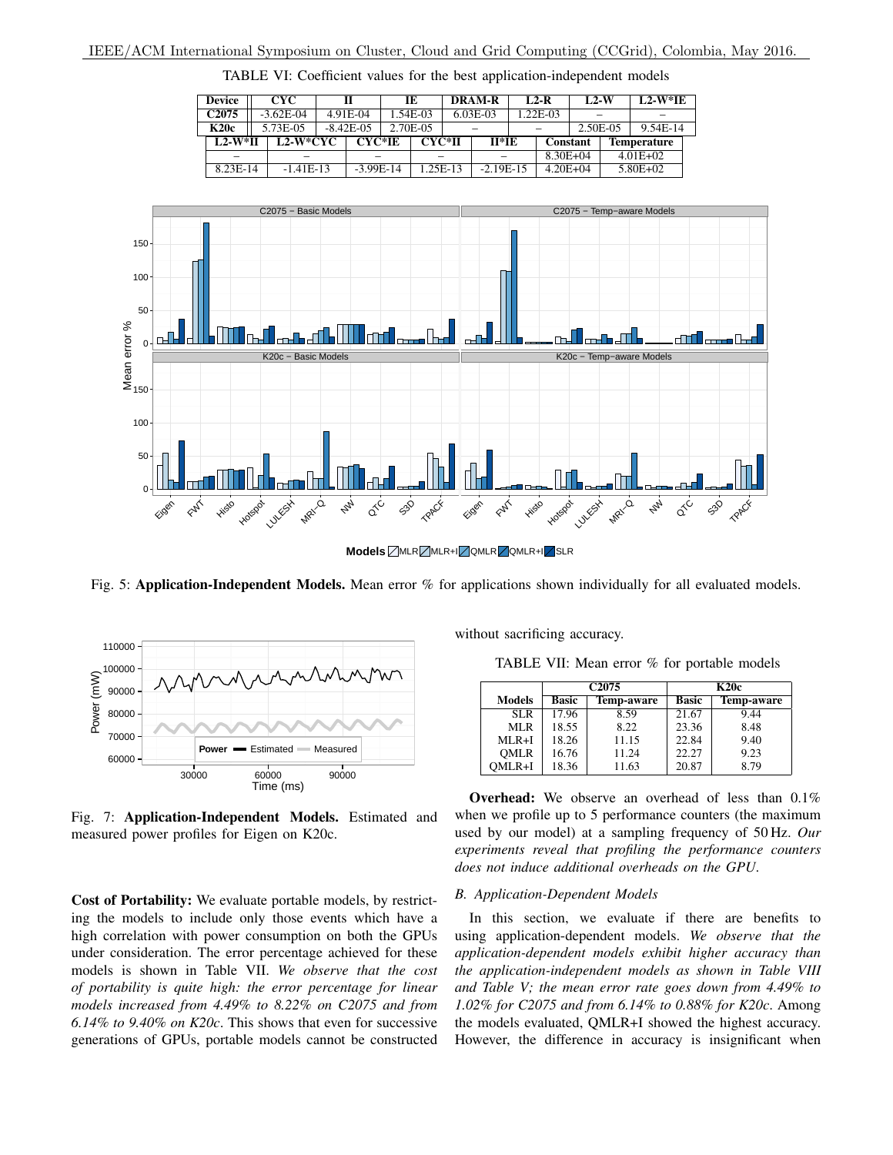| <b>Device</b>     | CYC.        |              | IE       |          | <b>DRAM-R</b> | $L2-R$       | $L2-W$   | $L2-W*TE$          |
|-------------------|-------------|--------------|----------|----------|---------------|--------------|----------|--------------------|
| C <sub>2075</sub> | $-3.62E-04$ | 4.91E-04     | 1.54E-03 |          | $6.03E-03$    | 1.22E-03     |          |                    |
| <b>K20c</b>       | 5.73E-05    | $-8.42E-0.5$ | 2.70E-05 |          |               |              | 2.50E-05 | 9.54E-14           |
| $L2-W*H$          | $L2-W*CYC$  | CYC*IE       | CYC*II   |          | $II*IE$       | Constant     |          | <b>Temperature</b> |
|                   |             |              |          |          |               | $8.30E + 04$ |          | $4.01E + 02$       |
| 8.23E-14          | $-1.41E-13$ | $-3.99E-14$  |          | 1.25E-13 | $-2.19E-15$   | $4.20E + 04$ |          | $5.80E + 02$       |

TABLE VI: Coefficient values for the best application-independent models



**Models MLR** MLR+I QMLR 2 QMLR+I SLR

Fig. 5: Application-Independent Models. Mean error % for applications shown individually for all evaluated models.



Fig. 7: Application-Independent Models. Estimated and measured power profiles for Eigen on K20c.

Cost of Portability: We evaluate portable models, by restricting the models to include only those events which have a high correlation with power consumption on both the GPUs under consideration. The error percentage achieved for these models is shown in Table VII. *We observe that the cost of portability is quite high: the error percentage for linear models increased from 4.49% to 8.22% on C2075 and from 6.14% to 9.40% on K20c*. This shows that even for successive generations of GPUs, portable models cannot be constructed without sacrificing accuracy.

TABLE VII: Mean error % for portable models

|               |              | C <sub>2075</sub> |              | <b>K20c</b>       |
|---------------|--------------|-------------------|--------------|-------------------|
| <b>Models</b> | <b>Basic</b> | <b>Temp-aware</b> | <b>Basic</b> | <b>Temp-aware</b> |
| SLR.          | 17.96        | 8.59              | 21.67        | 9.44              |
| MLR           | 18.55        | 8.22              | 23.36        | 8.48              |
| $MLR+I$       | 18.26        | 11.15             | 22.84        | 9.40              |
| <b>OMLR</b>   | 16.76        | 11.24             | 22.27        | 9.23              |
| OMLR+I        | 18.36        | 11.63             | 20.87        | 8.79              |

Overhead: We observe an overhead of less than 0.1% when we profile up to 5 performance counters (the maximum used by our model) at a sampling frequency of 50 Hz. *Our experiments reveal that profiling the performance counters does not induce additional overheads on the GPU*.

#### *B. Application-Dependent Models*

In this section, we evaluate if there are benefits to using application-dependent models. *We observe that the application-dependent models exhibit higher accuracy than the application-independent models as shown in Table VIII and Table V; the mean error rate goes down from 4.49% to 1.02% for C2075 and from 6.14% to 0.88% for K20c*. Among the models evaluated, QMLR+I showed the highest accuracy. However, the difference in accuracy is insignificant when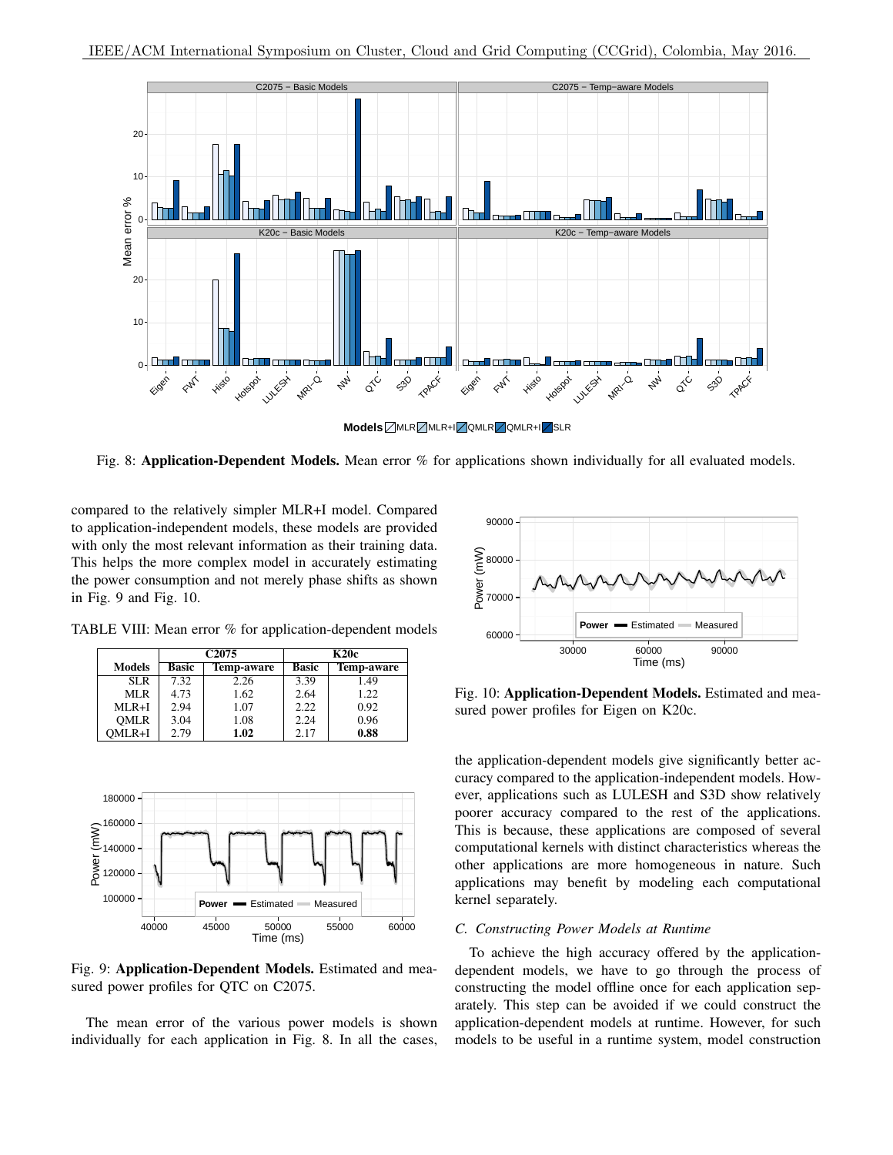

**Models MLR** MLR+I QMLR QMLR+I SLR

Fig. 8: **Application-Dependent Models.** Mean error % for applications shown individually for all evaluated models.

compared to the relatively simpler MLR+I model. Compared to application-independent models, these models are provided with only the most relevant information as their training data. This helps the more complex model in accurately estimating the power consumption and not merely phase shifts as shown in Fig. 9 and Fig. 10.

TABLE VIII: Mean error % for application-dependent models

|               |              | C <sub>2075</sub> |              | <b>K20c</b> |  |
|---------------|--------------|-------------------|--------------|-------------|--|
| <b>Models</b> | <b>Basic</b> | <b>Temp-aware</b> | <b>Basic</b> | Temp-aware  |  |
| SLR.          | 7.32         | 2.26              | 3.39         | 1.49        |  |
| MLR           | 4.73         | 1.62              | 2.64         | 1.22        |  |
| $MLR+I$       | 2.94         | 1.07              | 2.22         | 0.92        |  |
| <b>OMLR</b>   | 3.04         | 1.08              | 2.24         | 0.96        |  |
| OMLR+I        | 2.79         | 1.02              | 2.17         | 0.88        |  |



Fig. 9: Application-Dependent Models. Estimated and measured power profiles for QTC on C2075.

The mean error of the various power models is shown individually for each application in Fig. 8. In all the cases,



Fig. 10: Application-Dependent Models. Estimated and measured power profiles for Eigen on K20c.

the application-dependent models give significantly better accuracy compared to the application-independent models. However, applications such as LULESH and S3D show relatively poorer accuracy compared to the rest of the applications. This is because, these applications are composed of several computational kernels with distinct characteristics whereas the other applications are more homogeneous in nature. Such applications may benefit by modeling each computational kernel separately.

## *C. Constructing Power Models at Runtime*

To achieve the high accuracy offered by the applicationdependent models, we have to go through the process of constructing the model offline once for each application separately. This step can be avoided if we could construct the application-dependent models at runtime. However, for such models to be useful in a runtime system, model construction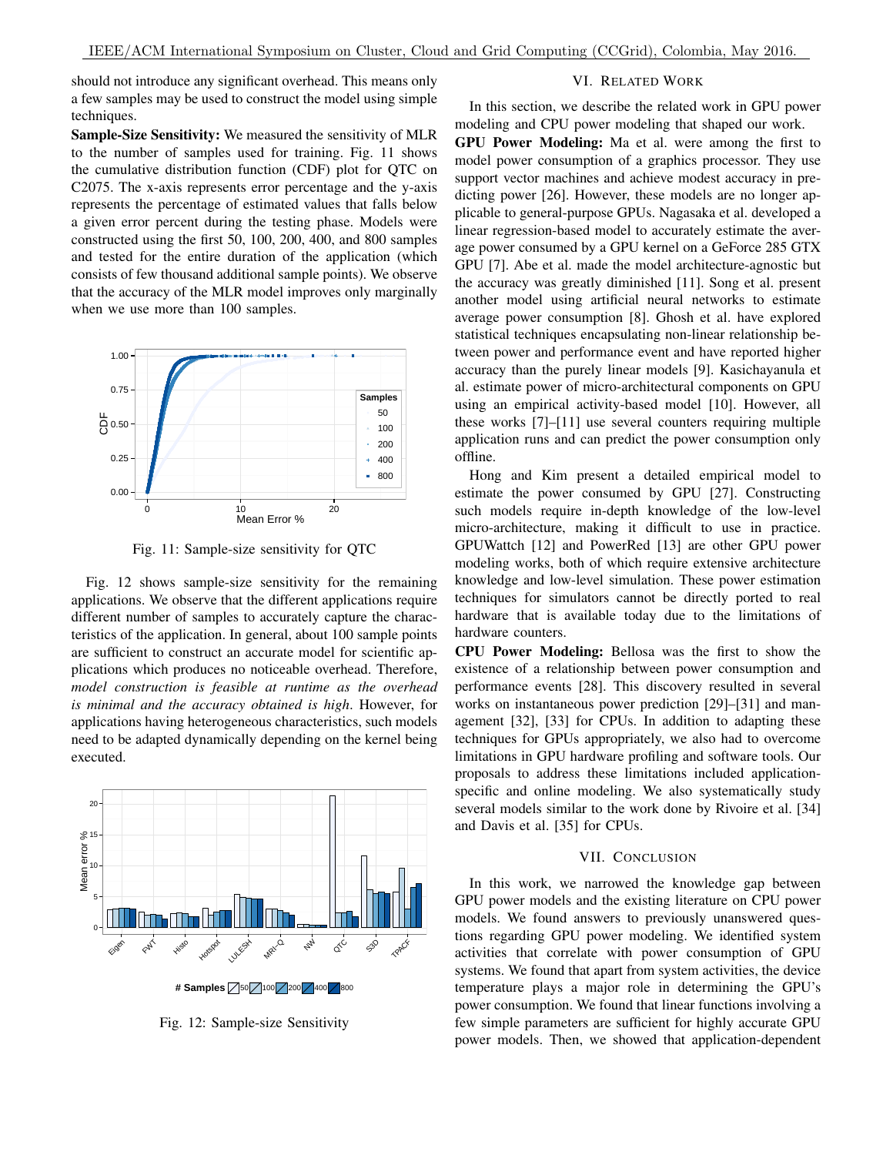should not introduce any significant overhead. This means only a few samples may be used to construct the model using simple techniques.

Sample-Size Sensitivity: We measured the sensitivity of MLR to the number of samples used for training. Fig. 11 shows the cumulative distribution function (CDF) plot for QTC on C2075. The x-axis represents error percentage and the y-axis represents the percentage of estimated values that falls below a given error percent during the testing phase. Models were constructed using the first 50, 100, 200, 400, and 800 samples and tested for the entire duration of the application (which consists of few thousand additional sample points). We observe that the accuracy of the MLR model improves only marginally when we use more than 100 samples.



Fig. 11: Sample-size sensitivity for QTC

Fig. 12 shows sample-size sensitivity for the remaining applications. We observe that the different applications require different number of samples to accurately capture the characteristics of the application. In general, about 100 sample points are sufficient to construct an accurate model for scientific applications which produces no noticeable overhead. Therefore, *model construction is feasible at runtime as the overhead is minimal and the accuracy obtained is high*. However, for applications having heterogeneous characteristics, such models need to be adapted dynamically depending on the kernel being executed.



Fig. 12: Sample-size Sensitivity

# VI. RELATED WORK

In this section, we describe the related work in GPU power modeling and CPU power modeling that shaped our work.

GPU Power Modeling: Ma et al. were among the first to model power consumption of a graphics processor. They use support vector machines and achieve modest accuracy in predicting power [26]. However, these models are no longer applicable to general-purpose GPUs. Nagasaka et al. developed a linear regression-based model to accurately estimate the average power consumed by a GPU kernel on a GeForce 285 GTX GPU [7]. Abe et al. made the model architecture-agnostic but the accuracy was greatly diminished [11]. Song et al. present another model using artificial neural networks to estimate average power consumption [8]. Ghosh et al. have explored statistical techniques encapsulating non-linear relationship between power and performance event and have reported higher accuracy than the purely linear models [9]. Kasichayanula et al. estimate power of micro-architectural components on GPU using an empirical activity-based model [10]. However, all these works [7]–[11] use several counters requiring multiple application runs and can predict the power consumption only offline.

Hong and Kim present a detailed empirical model to estimate the power consumed by GPU [27]. Constructing such models require in-depth knowledge of the low-level micro-architecture, making it difficult to use in practice. GPUWattch [12] and PowerRed [13] are other GPU power modeling works, both of which require extensive architecture knowledge and low-level simulation. These power estimation techniques for simulators cannot be directly ported to real hardware that is available today due to the limitations of hardware counters.

CPU Power Modeling: Bellosa was the first to show the existence of a relationship between power consumption and performance events [28]. This discovery resulted in several works on instantaneous power prediction [29]–[31] and management [32], [33] for CPUs. In addition to adapting these techniques for GPUs appropriately, we also had to overcome limitations in GPU hardware profiling and software tools. Our proposals to address these limitations included applicationspecific and online modeling. We also systematically study several models similar to the work done by Rivoire et al. [34] and Davis et al. [35] for CPUs.

## VII. CONCLUSION

In this work, we narrowed the knowledge gap between GPU power models and the existing literature on CPU power models. We found answers to previously unanswered questions regarding GPU power modeling. We identified system activities that correlate with power consumption of GPU systems. We found that apart from system activities, the device temperature plays a major role in determining the GPU's power consumption. We found that linear functions involving a few simple parameters are sufficient for highly accurate GPU power models. Then, we showed that application-dependent